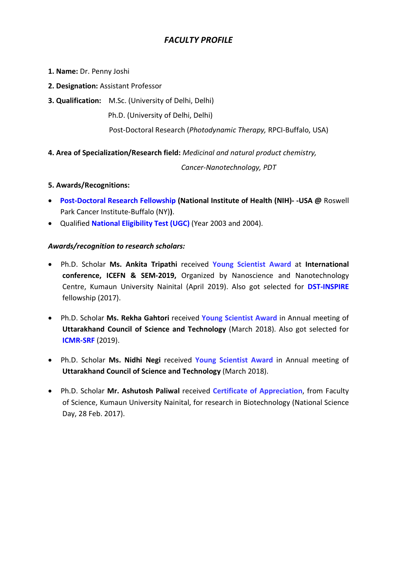# *FACULTY PROFILE*

- **1. Name:** Dr. Penny Joshi
- **2. Designation:** Assistant Professor
- **3. Qualification:** M.Sc. (University of Delhi, Delhi)

Ph.D. (University of Delhi, Delhi)

Post-Doctoral Research (*Photodynamic Therapy,* RPCI-Buffalo, USA)

# **4. Area of Specialization/Research field:** *Medicinal and natural product chemistry,*

 *Cancer-Nanotechnology, PDT*

# **5. Awards/Recognitions:**

- **Post-Doctoral Research Fellowship (National Institute of Health (NIH)- -USA @** Roswell Park Cancer Institute-Buffalo (NY)**)**.
- Qualified **National Eligibility Test (UGC)** (Year 2003 and 2004).

# *Awards/recognition to research scholars:*

- Ph.D. Scholar **Ms. Ankita Tripathi** received **Young Scientist Award** at **International conference, ICEFN & SEM-2019,** Organized by Nanoscience and Nanotechnology Centre, Kumaun University Nainital (April 2019). Also got selected for **DST-INSPIRE** fellowship (2017).
- Ph.D. Scholar **Ms. Rekha Gahtori** received **Young Scientist Award** in Annual meeting of **Uttarakhand Council of Science and Technology** (March 2018). Also got selected for **ICMR-SRF** (2019).
- Ph.D. Scholar **Ms. Nidhi Negi** received **Young Scientist Award** in Annual meeting of **Uttarakhand Council of Science and Technology** (March 2018).
- Ph.D. Scholar **Mr. Ashutosh Paliwal** received **Certificate of Appreciation**, from Faculty of Science, Kumaun University Nainital, for research in Biotechnology (National Science Day, 28 Feb. 2017).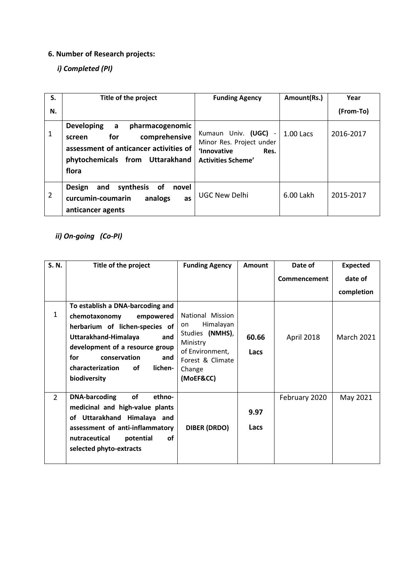# **6. Number of Research projects:**

# *i) Completed (PI)*

| S. | Title of the project                                                                                                                                              | <b>Funding Agency</b>                                                                                        | Amount(Rs.) | Year      |
|----|-------------------------------------------------------------------------------------------------------------------------------------------------------------------|--------------------------------------------------------------------------------------------------------------|-------------|-----------|
| N. |                                                                                                                                                                   |                                                                                                              |             | (From-To) |
| 1  | <b>Developing</b><br>pharmacogenomic<br>a<br>comprehensive<br>for<br>screen<br>assessment of anticancer activities of<br>phytochemicals from Uttarakhand<br>flora | Kumaun Univ. (UGC)<br>$\sim$<br>Minor Res. Project under<br>'Innovative<br>Res.<br><b>Activities Scheme'</b> | 1.00 Lacs   | 2016-2017 |
| 2  | synthesis<br>and<br><b>of</b><br><b>Design</b><br>novel<br>curcumin-coumarin<br>analogs<br>as<br>anticancer agents                                                | <b>UGC New Delhi</b>                                                                                         | 6.00 Lakh   | 2015-2017 |

# *ii) On-going (Co-PI)*

| S. N.          | Title of the project                                                                                                                                                                | <b>Funding Agency</b>                                                                                        | Amount        | Date of       | <b>Expected</b>   |
|----------------|-------------------------------------------------------------------------------------------------------------------------------------------------------------------------------------|--------------------------------------------------------------------------------------------------------------|---------------|---------------|-------------------|
|                |                                                                                                                                                                                     |                                                                                                              |               | Commencement  | date of           |
|                |                                                                                                                                                                                     |                                                                                                              |               |               | completion        |
|                | To establish a DNA-barcoding and                                                                                                                                                    |                                                                                                              | 60.66<br>Lacs |               |                   |
| 1              | chemotaxonomy<br>empowered                                                                                                                                                          | National Mission                                                                                             |               | April 2018    | <b>March 2021</b> |
|                | herbarium of lichen-species of<br>Uttarakhand-Himalaya<br>and<br>development of a resource group<br>for<br>conservation<br>and<br>characterization<br>οf<br>lichen-<br>biodiversity | Himalayan<br>on<br>Studies (NMHS),<br>Ministry<br>of Environment,<br>Forest & Climate<br>Change<br>(MoEF&CC) |               |               |                   |
| $\overline{2}$ | <b>DNA-barcoding</b><br>of<br>ethno-                                                                                                                                                |                                                                                                              | 9.97          | February 2020 | May 2021          |
|                | medicinal and high-value plants<br>of Uttarakhand Himalaya and<br>assessment of anti-inflammatory<br><b>of</b><br>nutraceutical<br>potential<br>selected phyto-extracts             | <b>DIBER (DRDO)</b>                                                                                          |               |               |                   |
|                |                                                                                                                                                                                     |                                                                                                              | Lacs          |               |                   |
|                |                                                                                                                                                                                     |                                                                                                              |               |               |                   |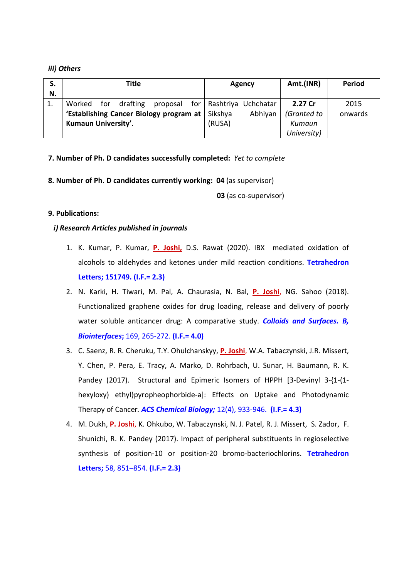#### *iii) Others*

| S. | Title                                   |     |          | Agency   |         | Amt.(INR)   | <b>Period</b>             |             |      |
|----|-----------------------------------------|-----|----------|----------|---------|-------------|---------------------------|-------------|------|
| N. |                                         |     |          |          |         |             |                           |             |      |
| 1. | Worked                                  | for | drafting | proposal |         |             | for   Rashtriya Uchchatar | 2.27 Cr     | 2015 |
|    | 'Establishing Cancer Biology program at |     |          | Sikshya  | Abhiyan | (Granted to | onwards                   |             |      |
|    | Kumaun University'.                     |     |          | (RUSA)   |         | Kumaun      |                           |             |      |
|    |                                         |     |          |          |         |             |                           | University) |      |

#### **7. Number of Ph. D candidates successfully completed:** *Yet to complete*

**8. Number of Ph. D candidates currently working: 04** (as supervisor)

**03** (as co-supervisor)

#### **9. Publications:**

#### *i) Research Articles published in journals*

- 1. K. Kumar, P. Kumar, **P. Joshi,** D.S. Rawat (2020). IBX mediated oxidation of alcohols to aldehydes and ketones under mild reaction conditions. **Tetrahedron Letters; 151749. (I.F.= 2.3)**
- 2. N. Karki, H. Tiwari, M. Pal, A. Chaurasia, N. Bal, **P. Joshi**, NG. Sahoo (2018). Functionalized graphene oxides for drug loading, release and delivery of poorly water soluble anticancer drug: A comparative study. *Colloids and Surfaces. B, Biointerfaces***;** 169, 265-272. **(I.F.= 4.0)**
- 3. C. Saenz, R. R. Cheruku, T.Y. Ohulchanskyy, **P. Joshi**, W.A. Tabaczynski, J.R. Missert, Y. Chen, P. Pera, E. Tracy, A. Marko, D. Rohrbach, U. Sunar, H. Baumann, R. K. Pandey (2017). Structural and Epimeric Isomers of HPPH [3-Devinyl 3-{1-(1 hexyloxy) ethyl}pyropheophorbide-a]: Effects on Uptake and Photodynamic Therapy of Cancer*. ACS Chemical Biology;* 12(4), 933-946. **(I.F.= 4.3)**
- 4. M. Dukh, **P. Joshi**, K. Ohkubo, W. Tabaczynski, N. J. Patel, R. J. Missert, S. Zador, F. Shunichi, R. K. Pandey (2017). Impact of peripheral substituents in regioselective synthesis of position-10 or position-20 bromo-bacteriochlorins. **Tetrahedron Letters;** 58, 851–854. **(I.F.= 2.3)**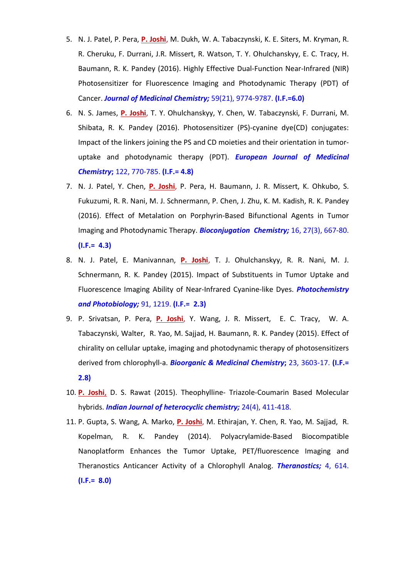- 5. N. J. Patel, P. Pera, **P. Joshi**, M. Dukh, W. A. Tabaczynski, K. E. Siters, M. Kryman, R. R. Cheruku, F. Durrani, J.R. Missert, R. Watson, T. Y. Ohulchanskyy, E. C. Tracy, H. Baumann, R. K. Pandey (2016). Highly Effective Dual-Function Near-Infrared (NIR) Photosensitizer for Fluorescence Imaging and Photodynamic Therapy (PDT) of Cancer. *Journal of Medicinal Chemistry;* 59(21), 9774-9787. **(I.F.=6.0)**
- 6. N. S. James, **P. Joshi**, T. Y. Ohulchanskyy, Y. Chen, W. Tabaczynski, F. Durrani, M. Shibata, R. K. Pandey (2016). Photosensitizer (PS)-cyanine dye(CD) conjugates: Impact of the linkers joining the PS and CD moieties and their orientation in tumoruptake and photodynamic therapy (PDT). *European Journal of Medicinal Chemistry***;** 122, 770-785. **(I.F.= 4.8)**
- 7. N. J. Patel, Y. Chen, **P. Joshi**, P. Pera, H. Baumann, J. R. Missert, K. Ohkubo, S. Fukuzumi, R. R. Nani, M. J. Schnermann, P. Chen, J. Zhu, K. M. Kadish, R. K. Pandey (2016). Effect of Metalation on Porphyrin-Based Bifunctional Agents in Tumor Imaging and Photodynamic Therapy. *Bioconjugation Chemistry;* 16, 27(3), 667-80. **(I.F.= 4.3)**
- 8. N. J. Patel, E. Manivannan, **P. Joshi**, T. J. Ohulchanskyy, R. R. Nani, M. J. Schnermann, R. K. Pandey (2015). Impact of Substituents in Tumor Uptake and Fluorescence Imaging Ability of Near-Infrared Cyanine-like Dyes. *Photochemistry and Photobiology;* 91, 1219. **(I.F.= 2.3)**
- 9. P. Srivatsan, P. Pera, **P. Joshi**, Y. Wang, J. R. Missert, E. C. Tracy, W. A. Tabaczynski, Walter, R. Yao, M. Sajjad, H. Baumann, R. K. Pandey (2015). Effect of chirality on cellular uptake, imaging and photodynamic therapy of photosensitizers derived from chlorophyll-a. *Bioorganic & Medicinal Chemistry***;** 23, 3603-17. **(I.F.= 2.8)**
- 10. **P. Joshi**, D. S. Rawat (2015). Theophylline- Triazole-Coumarin Based Molecular hybrids. *Indian Journal of heterocyclic chemistry;* 24(4), 411-418.
- 11. P. Gupta, S. Wang, A. Marko, **P. Joshi**, M. Ethirajan, Y. Chen, R. Yao, M. Sajjad, R. Kopelman, R. K. Pandey (2014). Polyacrylamide-Based Biocompatible Nanoplatform Enhances the Tumor Uptake, PET/fluorescence Imaging and Theranostics Anticancer Activity of a Chlorophyll Analog. *Theranostics;* 4, 614. **(I.F.= 8.0)**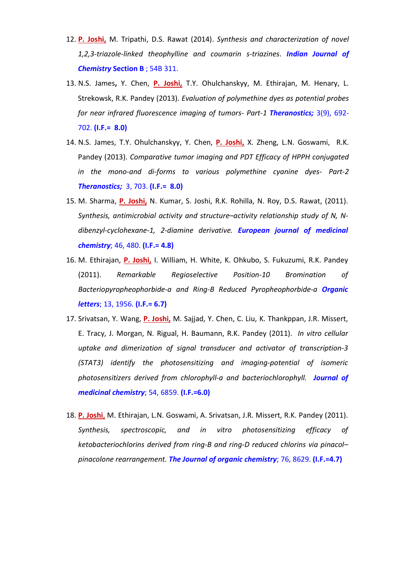- 12. **P. Joshi,** M. Tripathi, D.S. Rawat (2014). *Synthesis and characterization of novel 1,2,3-triazole-linked theophylline and coumarin s-triazines*. *Indian Journal of Chemistry* **Section B** ; 54B 311.
- 13. N.S. James**,** Y. Chen, **P. Joshi,** T.Y. Ohulchanskyy, M. Ethirajan, M. Henary, L. Strekowsk, R.K. Pandey (2013). *Evaluation of polymethine dyes as potential probes for near infrared fluorescence imaging of tumors- Part-1 Theranostics;* 3(9), 692- 702. **(I.F.= 8.0)**
- 14. N.S. James, T.Y. Ohulchanskyy, Y. Chen, **P. Joshi,** X. Zheng, L.N. Goswami, R.K. Pandey (2013). *Comparative tumor imaging and PDT Efficacy of HPPH conjugated in the mono-and di-forms to various polymethine cyanine dyes- Part-2 Theranostics;* 3, 703. **(I.F.= 8.0)**
- 15. M. Sharma, **P. Joshi,** N. Kumar, S. Joshi, R.K. Rohilla, N. Roy, D.S. Rawat, (2011). *Synthesis, antimicrobial activity and structure–activity relationship study of N, Ndibenzyl-cyclohexane-1, 2-diamine derivative. European journal of medicinal chemistry*; 46, 480. **(I.F.= 4.8)**
- 16. M. Ethirajan, **P. Joshi,** I. William, H. White, K. Ohkubo, S. Fukuzumi, R.K. Pandey (2011). *Remarkable Regioselective Position-10 Bromination of Bacteriopyropheophorbide-a and Ring-B Reduced Pyropheophorbide-a Organic letters*; 13, 1956. **(I.F.= 6.7)**
- 17. Srivatsan, Y. Wang, **P. Joshi,** M. Sajjad, Y. Chen, C. Liu, K. Thankppan, J.R. Missert, E. Tracy, J. Morgan, N. Rigual, H. Baumann, R.K. Pandey (2011). *In vitro cellular uptake and dimerization of signal transducer and activator of transcription-3 (STAT3) identify the photosensitizing and imaging-potential of isomeric photosensitizers derived from chlorophyll-a and bacteriochlorophyll. Journal of medicinal chemistry*; 54, 6859. **(I.F.=6.0)**
- 18. **P. Joshi**, M. Ethirajan, L.N. Goswami, A. Srivatsan, J.R. Missert, R.K. Pandey (2011). *Synthesis, spectroscopic, and in vitro photosensitizing efficacy of ketobacteriochlorins derived from ring-B and ring-D reduced chlorins via pinacol– pinacolone rearrangement. The Journal of organic chemistry*; 76, 8629. **(I.F.=4.7)**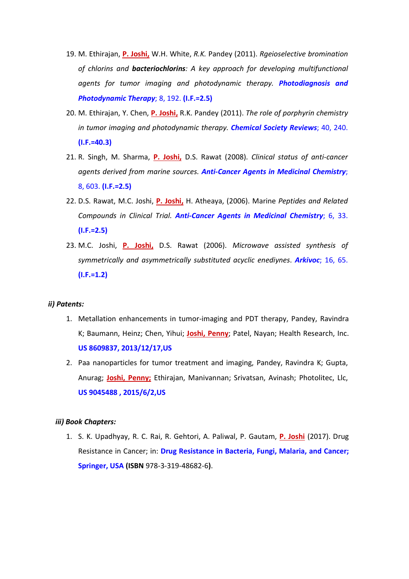- 19. M. Ethirajan, **P. Joshi,** W.H. White, *R.K.* Pandey (2011). *Rgeioselective bromination of chlorins and bacteriochlorins: A key approach for developing multifunctional agents for tumor imaging and photodynamic therapy. Photodiagnosis and Photodynamic Therapy*; 8, 192. **(I.F.=2.5)**
- 20. M. Ethirajan, Y. Chen, **P. Joshi,** R.K. Pandey (2011). *The role of porphyrin chemistry in tumor imaging and photodynamic therapy. Chemical Society Reviews*; 40, 240. **(I.F.=40.3)**
- 21. R. Singh, M. Sharma, **P. Joshi,** D.S. Rawat (2008). *Clinical status of anti-cancer agents derived from marine sources. Anti-Cancer Agents in Medicinal Chemistry*; 8, 603. **(I.F.=2.5)**
- 22. D.S. Rawat, M.C. Joshi, **P. Joshi,** H. Atheaya, (2006). Marine *Peptides and Related Compounds in Clinical Trial. Anti-Cancer Agents in Medicinal Chemistry*; 6, 33. **(I.F.=2.5)**
- 23. M.C. Joshi, **P. Joshi,** D.S. Rawat (2006). *Microwave assisted synthesis of symmetrically and asymmetrically substituted acyclic enediynes*. *Arkivoc*; 16, 65. **(I.F.=1.2)**

#### *ii) Patents:*

- 1. Metallation enhancements in tumor-imaging and PDT therapy, Pandey, Ravindra K; Baumann, Heinz; Chen, Yihui; **Joshi, Penny**; Patel, Nayan; Health Research, Inc. **US 8609837, 2013/12/17,US**
- 2. Paa nanoparticles for tumor treatment and imaging, Pandey, Ravindra K; Gupta, Anurag; **Joshi, Penny;** Ethirajan, Manivannan; Srivatsan, Avinash; Photolitec, Llc, **US 9045488 , 2015/6/2,US**

#### *iii) Book Chapters:*

1. S. K. Upadhyay, R. C. Rai, R. Gehtori, A. Paliwal, P. Gautam, **P. Joshi** (2017). Drug Resistance in Cancer; in: **Drug Resistance in Bacteria, Fungi, Malaria, and Cancer; Springer, USA (ISBN** 978-3-319-48682-6**)**.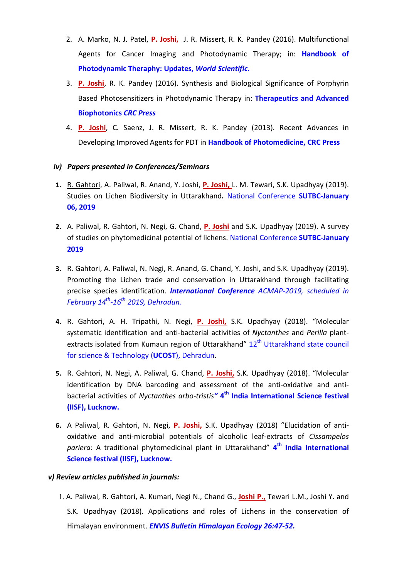- 2. A. Marko, N. J. Patel, **P. Joshi,** J. R. Missert, R. K. Pandey (2016). Multifunctional Agents for Cancer Imaging and Photodynamic Therapy; in: **Handbook of Photodynamic Theraphy: Updates,** *World Scientific.*
- 3. **P. Joshi**, R. K. Pandey (2016). Synthesis and Biological Significance of Porphyrin Based Photosensitizers in Photodynamic Therapy in: **Therapeutics and Advanced Biophotonics** *CRC Press*
- 4. **P. Joshi**, C. Saenz, J. R. Missert, R. K. Pandey (2013). Recent Advances in Developing Improved Agents for PDT in **Handbook of Photomedicine, CRC Press**

# *iv) Papers presented in Conferences/Seminars*

- **1.** R. Gahtori, A. Paliwal, R. Anand, Y. Joshi, **P. Joshi,** L. M. Tewari, S.K. Upadhyay (2019). Studies on Lichen Biodiversity in Uttarakhand**.** National Conference **SUTBC-January 06, 2019**
- **2.** A. Paliwal, R. Gahtori, N. Negi, G. Chand, **P. Joshi** and S.K. Upadhyay (2019). A survey of studies on phytomedicinal potential of lichens. National Conference **SUTBC-January 2019**
- **3.** R. Gahtori, A. Paliwal, N. Negi, R. Anand, G. Chand, Y. Joshi, and S.K. Upadhyay (2019). Promoting the Lichen trade and conservation in Uttarakhand through facilitating precise species identification. *International Conference ACMAP-2019, scheduled in February 14th-16th 2019, Dehradun.*
- **4.** R. Gahtori, A. H. Tripathi, N. Negi, **P. Joshi,** S.K. Upadhyay (2018). "Molecular systematic identification and anti-bacterial activities of *Nyctanthes* and *Perilla* plantextracts isolated from Kumaun region of Uttarakhand" 12<sup>th</sup> Uttarakhand state council for science & Technology (**UCOST**), Dehradun.
- **5.** R. Gahtori, N. Negi, A. Paliwal, G. Chand, **P. Joshi,** S.K. Upadhyay (2018). "Molecular identification by DNA barcoding and assessment of the anti-oxidative and antibacterial activities of *Nyctanthes arbo-tristis"* **4th India International Science festival (IISF), Lucknow.**
- **6.** A Paliwal, R. Gahtori, N. Negi, **P. Joshi,** S.K. Upadhyay (2018) "Elucidation of antioxidative and anti-microbial potentials of alcoholic leaf-extracts of *Cissampelos pariera*: A traditional phytomedicinal plant in Uttarakhand" **4th India International Science festival (IISF), Lucknow.**

#### *v) Review articles published in journals:*

1. A. Paliwal, R. Gahtori, A. Kumari, Negi N., Chand G., **Joshi P.,** Tewari L.M., Joshi Y. and S.K. Upadhyay (2018). Applications and roles of Lichens in the conservation of Himalayan environment. *ENVIS Bulletin Himalayan Ecology 26:47-52.*